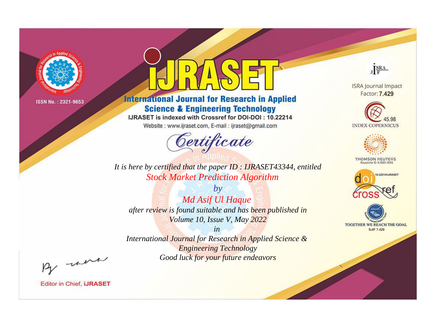

# **International Journal for Research in Applied Science & Engineering Technology**

IJRASET is indexed with Crossref for DOI-DOI: 10.22214

Website: www.ijraset.com, E-mail: ijraset@gmail.com



JERA

**ISRA Journal Impact** Factor: 7.429





**THOMSON REUTERS** 



TOGETHER WE REACH THE GOAL **SJIF 7.429** 

It is here by certified that the paper ID: IJRASET43344, entitled **Stock Market Prediction Algorithm** 

 $by$ Md Asif Ul Haque after review is found suitable and has been published in Volume 10, Issue V, May 2022

 $in$ International Journal for Research in Applied Science & **Engineering Technology** Good luck for your future endeavors

By morn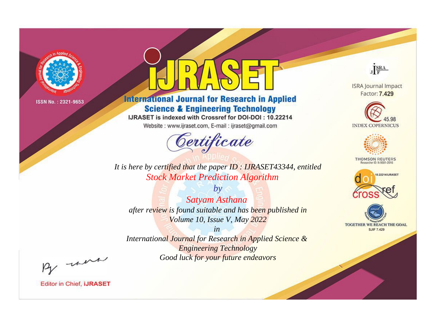

# **International Journal for Research in Applied Science & Engineering Technology**

IJRASET is indexed with Crossref for DOI-DOI: 10.22214

Website: www.ijraset.com, E-mail: ijraset@gmail.com



JERA

**ISRA Journal Impact** Factor: 7.429





**THOMSON REUTERS** 



TOGETHER WE REACH THE GOAL **SJIF 7.429** 

*It is here by certified that the paper ID : IJRASET43344, entitled Stock Market Prediction Algorithm*

*by Satyam Asthana after review is found suitable and has been published in Volume 10, Issue V, May 2022*

*in* 

*International Journal for Research in Applied Science & Engineering Technology Good luck for your future endeavors*

By morn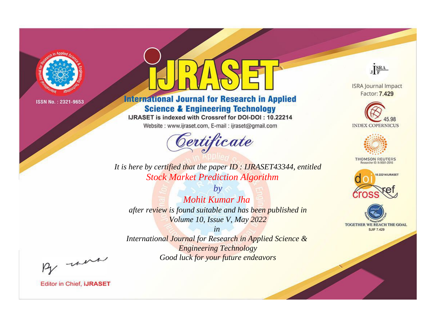

# **International Journal for Research in Applied Science & Engineering Technology**

IJRASET is indexed with Crossref for DOI-DOI: 10.22214

Website: www.ijraset.com, E-mail: ijraset@gmail.com



JERA

**ISRA Journal Impact** Factor: 7.429





**THOMSON REUTERS** 



TOGETHER WE REACH THE GOAL **SJIF 7.429** 

*It is here by certified that the paper ID : IJRASET43344, entitled Stock Market Prediction Algorithm*

*by Mohit Kumar Jha after review is found suitable and has been published in Volume 10, Issue V, May 2022*

*in* 

*International Journal for Research in Applied Science & Engineering Technology Good luck for your future endeavors*

By morn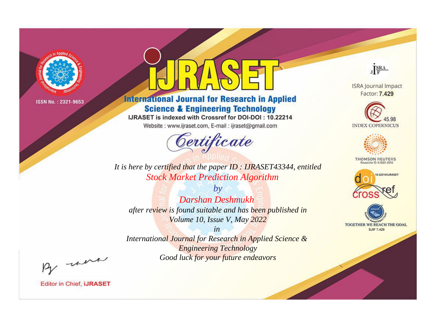

# **International Journal for Research in Applied Science & Engineering Technology**

IJRASET is indexed with Crossref for DOI-DOI: 10.22214

Website: www.ijraset.com, E-mail: ijraset@gmail.com



JERA

**ISRA Journal Impact** Factor: 7.429





**THOMSON REUTERS** 



TOGETHER WE REACH THE GOAL **SJIF 7.429** 

It is here by certified that the paper ID: IJRASET43344, entitled **Stock Market Prediction Algorithm** 

 $b\nu$ Darshan Deshmukh after review is found suitable and has been published in Volume 10, Issue V, May 2022

 $in$ International Journal for Research in Applied Science & **Engineering Technology** Good luck for your future endeavors

By morn